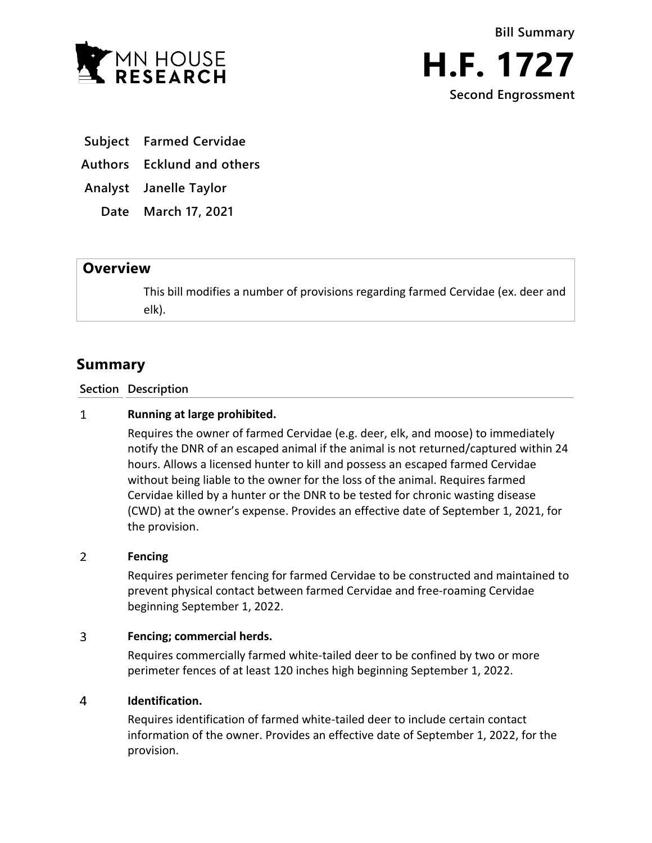



**Subject Farmed Cervidae**

**Authors Ecklund and others**

**Analyst Janelle Taylor**

**Date March 17, 2021**

## **Overview**

This bill modifies a number of provisions regarding farmed Cervidae (ex. deer and elk).

# **Summary**

**Section Description**

#### $\mathbf{1}$ **Running at large prohibited.**

Requires the owner of farmed Cervidae (e.g. deer, elk, and moose) to immediately notify the DNR of an escaped animal if the animal is not returned/captured within 24 hours. Allows a licensed hunter to kill and possess an escaped farmed Cervidae without being liable to the owner for the loss of the animal. Requires farmed Cervidae killed by a hunter or the DNR to be tested for chronic wasting disease (CWD) at the owner's expense. Provides an effective date of September 1, 2021, for the provision.

#### $\overline{2}$ **Fencing**

Requires perimeter fencing for farmed Cervidae to be constructed and maintained to prevent physical contact between farmed Cervidae and free-roaming Cervidae beginning September 1, 2022.

#### $\overline{3}$ **Fencing; commercial herds.**

Requires commercially farmed white-tailed deer to be confined by two or more perimeter fences of at least 120 inches high beginning September 1, 2022.

#### $\overline{a}$ **Identification.**

Requires identification of farmed white-tailed deer to include certain contact information of the owner. Provides an effective date of September 1, 2022, for the provision.